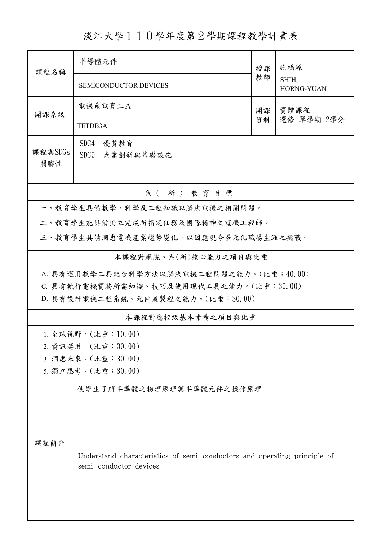## 淡江大學110學年度第2學期課程教學計畫表

| 課程名稱                                                                                                                     | 半導體元件<br>授課                                                                                        |          | 施鴻源                 |  |  |  |  |  |  |
|--------------------------------------------------------------------------------------------------------------------------|----------------------------------------------------------------------------------------------------|----------|---------------------|--|--|--|--|--|--|
|                                                                                                                          | <b>SEMICONDUCTOR DEVICES</b>                                                                       | 教師       | SHIH,<br>HORNG-YUAN |  |  |  |  |  |  |
| 開課系級                                                                                                                     | 電機系電資三A                                                                                            | 開課<br>資料 | 實體課程                |  |  |  |  |  |  |
|                                                                                                                          | TETDB3A                                                                                            |          | 選修 單學期 2學分          |  |  |  |  |  |  |
| 課程與SDGs<br>關聯性                                                                                                           | SDG4<br>優質教育<br>SDG9<br>產業創新與基礎設施                                                                  |          |                     |  |  |  |  |  |  |
| 系(所)教育目標                                                                                                                 |                                                                                                    |          |                     |  |  |  |  |  |  |
| 一、教育學生具備數學、科學及工程知識以解決電機之相關問題。                                                                                            |                                                                                                    |          |                     |  |  |  |  |  |  |
| 二、教育學生能具備獨立完成所指定任務及團隊精神之電機工程師。                                                                                           |                                                                                                    |          |                     |  |  |  |  |  |  |
|                                                                                                                          | 三、教育學生具備洞悉電機產業趨勢變化,以因應現今多元化職場生涯之挑戰。                                                                |          |                     |  |  |  |  |  |  |
| 本課程對應院、系(所)核心能力之項目與比重                                                                                                    |                                                                                                    |          |                     |  |  |  |  |  |  |
| A. 具有運用數學工具配合科學方法以解決電機工程問題之能力。(比重:40.00)<br>C. 具有執行電機實務所需知識、技巧及使用現代工具之能力。(比重:30.00)<br>D. 具有設計電機工程系統、元件或製程之能力。(比重:30.00) |                                                                                                    |          |                     |  |  |  |  |  |  |
|                                                                                                                          | 本課程對應校級基本素養之項目與比重                                                                                  |          |                     |  |  |  |  |  |  |
|                                                                                                                          | 1. 全球視野。(比重:10.00)                                                                                 |          |                     |  |  |  |  |  |  |
|                                                                                                                          | 2. 資訊運用。(比重:30.00)                                                                                 |          |                     |  |  |  |  |  |  |
|                                                                                                                          | 3. 洞悉未來。(比重:30.00)                                                                                 |          |                     |  |  |  |  |  |  |
|                                                                                                                          | 5. 獨立思考。(比重:30.00)                                                                                 |          |                     |  |  |  |  |  |  |
| 課程簡介                                                                                                                     | 使學生了解半導體之物理原理與半導體元件之操作原理                                                                           |          |                     |  |  |  |  |  |  |
|                                                                                                                          | Understand characteristics of semi-conductors and operating principle of<br>semi-conductor devices |          |                     |  |  |  |  |  |  |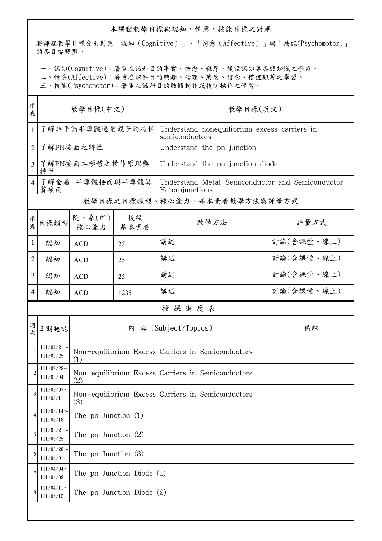## 本課程教學目標與認知、情意、技能目標之對應

將課程教學目標分別對應「認知(Cognitive)」、「情意(Affective)」與「技能(Psychomotor)」 的各目標類型。

一、認知(Cognitive):著重在該科目的事實、概念、程序、後設認知等各類知識之學習。

二、情意(Affective):著重在該科目的興趣、倫理、態度、信念、價值觀等之學習。

三、技能(Psychomotor):著重在該科目的肢體動作或技術操作之學習。

| 序<br>號         | 教學目標(中文)                   |                                                          |                | 教學目標(英文)                                                            |            |  |  |  |  |
|----------------|----------------------------|----------------------------------------------------------|----------------|---------------------------------------------------------------------|------------|--|--|--|--|
| 1              | 了解非平衡半導體過量載子的特性            |                                                          | semiconductors | Understand nonequilibrium excess carriers in                        |            |  |  |  |  |
| $\overline{2}$ | 了解PN接面之特性                  |                                                          |                | Understand the pn junction                                          |            |  |  |  |  |
| 3              | 了解PN接面二極體之操作原理與<br>特性      |                                                          |                | Understand the pn junction diode                                    |            |  |  |  |  |
| $\overline{4}$ | 了解金屬-半導體接面與半導體異<br>質接面     |                                                          |                | Understand Metal-Semiconductor and Semiconductor<br>Heterojunctions |            |  |  |  |  |
|                |                            |                                                          |                | 教學目標之目標類型、核心能力、基本素養教學方法與評量方式                                        |            |  |  |  |  |
| 序號             | 目標類型                       | 院、系 $(\text{m})$<br>核心能力                                 | 校級<br>基本素養     | 教學方法                                                                | 評量方式       |  |  |  |  |
| 1              | 認知                         | <b>ACD</b>                                               | 25             | 講述                                                                  | 討論(含課堂、線上) |  |  |  |  |
| 2              | 認知                         | <b>ACD</b>                                               | 25             | 講述                                                                  | 討論(含課堂、線上) |  |  |  |  |
| 3              | 認知                         | <b>ACD</b>                                               | 25             | 講述                                                                  | 討論(含課堂、線上) |  |  |  |  |
| 4              | 認知                         | <b>ACD</b>                                               | 1235           | 講述                                                                  | 討論(含課堂、線上) |  |  |  |  |
|                | 授課進度表                      |                                                          |                |                                                                     |            |  |  |  |  |
| 週次             | 日期起訖                       |                                                          |                | 內 容 (Subject/Topics)                                                | 備註         |  |  |  |  |
| $\mathbf{1}$   | $111/02/21$ ~<br>111/02/25 | Non-equilibrium Excess Carriers in Semiconductors<br>(1) |                |                                                                     |            |  |  |  |  |
| 2              | $111/02/28$ ~<br>111/03/04 | Non-equilibrium Excess Carriers in Semiconductors<br>(2) |                |                                                                     |            |  |  |  |  |
| 3              | $111/03/07$ ~<br>111/03/11 | Non-equilibrium Excess Carriers in Semiconductors<br>(3) |                |                                                                     |            |  |  |  |  |
| 4              | $111/03/14$ ~<br>111/03/18 | The pn Junction $(1)$                                    |                |                                                                     |            |  |  |  |  |
| 5              | $111/03/21$ ~<br>111/03/25 | The pn Junction $(2)$                                    |                |                                                                     |            |  |  |  |  |
| 6              | $111/03/28$ ~<br>111/04/01 | The pn Junction $(3)$                                    |                |                                                                     |            |  |  |  |  |
| 7              | $111/04/04$ ~<br>111/04/08 | The pn Junction Diode (1)                                |                |                                                                     |            |  |  |  |  |
| 8              | $111/04/11$ ~<br>111/04/15 | The pn Junction Diode (2)                                |                |                                                                     |            |  |  |  |  |
|                |                            |                                                          |                |                                                                     |            |  |  |  |  |